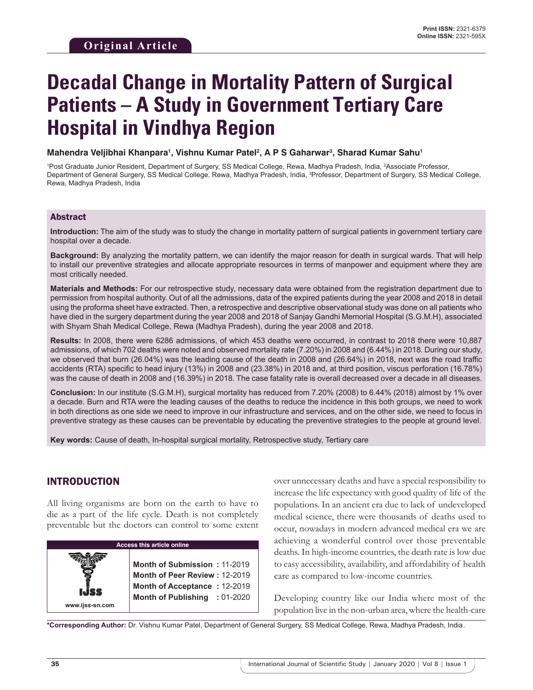# **Decadal Change in Mortality Pattern of Surgical Patients – A Study in Government Tertiary Care Hospital in Vindhya Region**

**Mahendra Veljibhai Khanpara1 , Vishnu Kumar Patel2 , A P S Gaharwar3 , Sharad Kumar Sahu1**

<sup>1</sup>Post Graduate Junior Resident, Department of Surgery, SS Medical College, Rewa, Madhya Pradesh, India, <sup>2</sup>Associate Professor, Department of General Surgery, SS Medical College, Rewa, Madhya Pradesh, India, 3 Professor, Department of Surgery, SS Medical College, Rewa, Madhya Pradesh, India

#### Abstract

**Introduction:** The aim of the study was to study the change in mortality pattern of surgical patients in government tertiary care hospital over a decade.

**Background:** By analyzing the mortality pattern, we can identify the major reason for death in surgical wards. That will help to install our preventive strategies and allocate appropriate resources in terms of manpower and equipment where they are most critically needed.

**Materials and Methods:** For our retrospective study, necessary data were obtained from the registration department due to permission from hospital authority. Out of all the admissions, data of the expired patients during the year 2008 and 2018 in detail using the proforma sheet have extracted. Then, a retrospective and descriptive observational study was done on all patients who have died in the surgery department during the year 2008 and 2018 of Sanjay Gandhi Memorial Hospital (S.G.M.H), associated with Shyam Shah Medical College, Rewa (Madhya Pradesh), during the year 2008 and 2018.

**Results:** In 2008, there were 6286 admissions, of which 453 deaths were occurred, in contrast to 2018 there were 10,887 admissions, of which 702 deaths were noted and observed mortality rate (7.20%) in 2008 and (6.44%) in 2018. During our study, we observed that burn (26.04%) was the leading cause of the death in 2008 and (26.64%) in 2018, next was the road traffic accidents (RTA) specific to head injury (13%) in 2008 and (23.38%) in 2018 and, at third position, viscus perforation (16.78%) was the cause of death in 2008 and (16.39%) in 2018. The case fatality rate is overall decreased over a decade in all diseases.

**Conclusion:** In our institute (S.G.M.H), surgical mortality has reduced from 7.20% (2008) to 6.44% (2018) almost by 1% over a decade. Burn and RTA were the leading causes of the deaths to reduce the incidence in this both groups, we need to work in both directions as one side we need to improve in our infrastructure and services, and on the other side, we need to focus in preventive strategy as these causes can be preventable by educating the preventive strategies to the people at ground level.

**Key words:** Cause of death, In-hospital surgical mortality, Retrospective study, Tertiary care

# INTRODUCTION

All living organisms are born on the earth to have to die as a part of the life cycle. Death is not completely preventable but the doctors can control to some extent



over unnecessary deaths and have a special responsibility to increase the life expectancy with good quality of life of the populations. In an ancient era due to lack of undeveloped medical science, there were thousands of deaths used to occur, nowadays in modern advanced medical era we are achieving a wonderful control over those preventable deaths. In high-income countries, the death rate is low due to easy accessibility, availability, and affordability of health care as compared to low-income countries.

Developing country like our India where most of the population live in the non-urban area, where the health-care

**\*Corresponding Author:** Dr. Vishnu Kumar Patel, Department of General Surgery, SS Medical College, Rewa, Madhya Pradesh, India .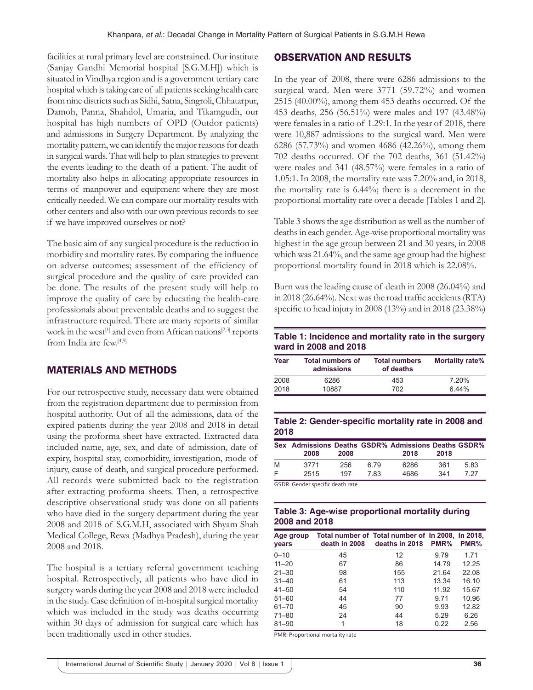facilities at rural primary level are constrained. Our institute (Sanjay Gandhi Memorial hospital [S.G.M.H]) which is situated in Vindhya region and is a government tertiary care hospital which is taking care of all patients seeking health care from nine districts such as Sidhi, Satna, Singroli, Chhatarpur, Damoh, Panna, Shahdol, Umaria, and Tikamgudh, our hospital has high numbers of OPD (Outdor patients) and admissions in Surgery Department. By analyzing the mortality pattern, we can identify the major reasons for death in surgical wards. That will help to plan strategies to prevent the events leading to the death of a patient. The audit of mortality also helps in allocating appropriate resources in terms of manpower and equipment where they are most critically needed. We can compare our mortality results with other centers and also with our own previous records to see if we have improved ourselves or not?

The basic aim of any surgical procedure is the reduction in morbidity and mortality rates. By comparing the influence on adverse outcomes; assessment of the efficiency of surgical procedure and the quality of care provided can be done. The results of the present study will help to improve the quality of care by educating the health-care professionals about preventable deaths and to suggest the infrastructure required. There are many reports of similar work in the west<sup>[1]</sup> and even from African nations<sup>[2,3]</sup> reports from India are few.[4,5]

# MATERIALS AND METHODS

For our retrospective study, necessary data were obtained from the registration department due to permission from hospital authority. Out of all the admissions, data of the expired patients during the year 2008 and 2018 in detail using the proforma sheet have extracted. Extracted data included name, age, sex, and date of admission, date of expiry, hospital stay, comorbidity, investigation, mode of injury, cause of death, and surgical procedure performed. All records were submitted back to the registration after extracting proforma sheets. Then, a retrospective descriptive observational study was done on all patients who have died in the surgery department during the year 2008 and 2018 of S.G.M.H, associated with Shyam Shah Medical College, Rewa (Madhya Pradesh), during the year 2008 and 2018.

The hospital is a tertiary referral government teaching hospital. Retrospectively, all patients who have died in surgery wards during the year 2008 and 2018 were included in the study. Case definition of in-hospital surgical mortality which was included in the study was deaths occurring within 30 days of admission for surgical care which has been traditionally used in other studies.

# OBSERVATION AND RESULTS

In the year of 2008, there were 6286 admissions to the surgical ward. Men were 3771 (59.72%) and women 2515 (40.00%), among them 453 deaths occurred. Of the 453 deaths, 256 (56.51%) were males and 197 (43.48%) were females in a ratio of 1.29:1. In the year of 2018, there were 10,887 admissions to the surgical ward. Men were 6286 (57.73%) and women 4686 (42.26%), among them 702 deaths occurred. Of the 702 deaths, 361 (51.42%) were males and 341 (48.57%) were females in a ratio of 1.05:1. In 2008, the mortality rate was 7.20% and, in 2018, the mortality rate is 6.44%; there is a decrement in the proportional mortality rate over a decade [Tables 1 and 2].

Table 3 shows the age distribution as well as the number of deaths in each gender. Age-wise proportional mortality was highest in the age group between 21 and 30 years, in 2008 which was 21.64%, and the same age group had the highest proportional mortality found in 2018 which is 22.08%.

Burn was the leading cause of death in 2008 (26.04%) and in 2018 (26.64%). Next was the road traffic accidents (RTA) specific to head injury in 2008 (13%) and in 2018 (23.38%)

# **Table 1: Incidence and mortality rate in the surgery ward in 2008 and 2018**

| Year | <b>Total numbers of</b><br><b>admissions</b> | <b>Total numbers</b><br>of deaths | Mortality rate% |
|------|----------------------------------------------|-----------------------------------|-----------------|
| 2008 | 6286                                         | 453                               | 7.20%           |
| 2018 | 10887                                        | 702                               | 644%            |

# **Table 2: Gender-specific mortality rate in 2008 and 2018**

|   | Sex Admissions Deaths GSDR% Admissions Deaths GSDR%<br>2008 | 2008 |      | 2018 | 2018 |      |
|---|-------------------------------------------------------------|------|------|------|------|------|
| M | 3771                                                        | 256  | 6.79 | 6286 | 361  | 583  |
| F | 2515                                                        | 197  | 783  | 4686 | 341  | 7 27 |

GSDR: Gender specific death rate

#### **Table 3: Age-wise proportional mortality during 2008 and 2018**

| Age group<br>vears | death in 2008 | Total number of Total number of In 2008, In 2018,<br>deaths in 2018 | PMR%  | PMR%  |
|--------------------|---------------|---------------------------------------------------------------------|-------|-------|
| $0 - 10$           | 45            | 12                                                                  | 9.79  | 1 7 1 |
| $11 - 20$          | 67            | 86                                                                  | 14.79 | 12.25 |
| $21 - 30$          | 98            | 155                                                                 | 21.64 | 22.08 |
| $31 - 40$          | 61            | 113                                                                 | 13.34 | 16.10 |
| $41 - 50$          | 54            | 110                                                                 | 11.92 | 15.67 |
| $51 - 60$          | 44            | 77                                                                  | 9.71  | 10.96 |
| $61 - 70$          | 45            | 90                                                                  | 9.93  | 12.82 |
| $71 - 80$          | 24            | 44                                                                  | 5.29  | 6.26  |
| $81 - 90$          | 1             | 18                                                                  | 0.22  | 2.56  |

PMR: Proportional mortality rate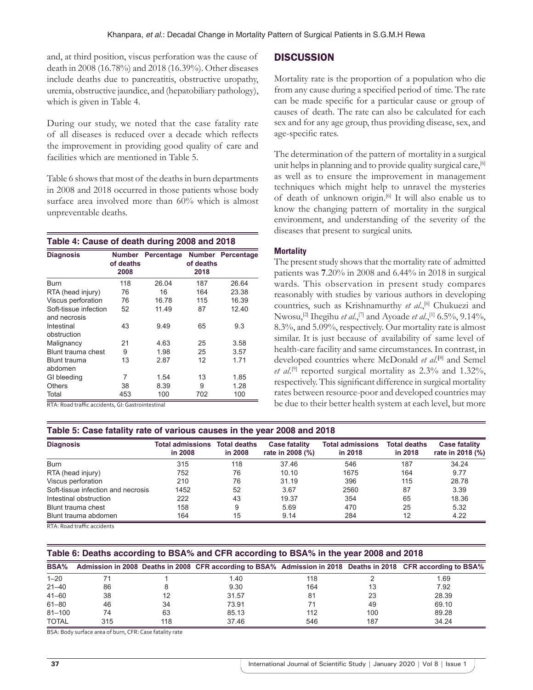and, at third position, viscus perforation was the cause of death in 2008 (16.78%) and 2018 (16.39%). Other diseases include deaths due to pancreatitis, obstructive uropathy, uremia, obstructive jaundice, and (hepatobiliary pathology), which is given in Table 4.

During our study, we noted that the case fatality rate of all diseases is reduced over a decade which reflects the improvement in providing good quality of care and facilities which are mentioned in Table 5.

Table 6 shows that most of the deaths in burn departments in 2008 and 2018 occurred in those patients whose body surface area involved more than 60% which is almost unpreventable deaths.

#### **Table 4: Cause of death during 2008 and 2018**

| <b>Diagnosis</b>                            | <b>Number</b><br>of deaths<br>2008 | Percentage | <b>Number</b><br>of deaths<br>2018 | Percentage |
|---------------------------------------------|------------------------------------|------------|------------------------------------|------------|
| Burn                                        | 118                                | 26.04      | 187                                | 26.64      |
| RTA (head injury)                           | 76                                 | 16         | 164                                | 23.38      |
| Viscus perforation                          | 76                                 | 16.78      | 115                                | 16.39      |
| Soft-tissue infection<br>and necrosis       | 52                                 | 11.49      | 87                                 | 12.40      |
| Intestinal<br>obstruction                   | 43                                 | 9.49       | 65                                 | 9.3        |
| Malignancy                                  | 21                                 | 4.63       | 25                                 | 3.58       |
| Blunt trauma chest                          | 9                                  | 1.98       | 25                                 | 3.57       |
| Blunt trauma<br>abdomen                     | 13                                 | 2.87       | 12                                 | 1.71       |
| GI bleeding                                 | 7                                  | 1.54       | 13                                 | 1.85       |
| <b>Others</b>                               | 38                                 | 8.39       | 9                                  | 1.28       |
| Total<br>D T A D 11 C C<br><b>CALL 1999</b> | 453<br>$\sim$ $\sim$               | 100        | 702                                | 100        |

RTA: Road traffic accidents, GI: Gastrointestinal

# **Table 5: Case fatality rate of various causes in the year 2008 and 2018**

| <b>Diagnosis</b>                   | <b>Total admissions</b><br>in 2008 | <b>Total deaths</b><br>in 2008 | <b>Case fatality</b><br>rate in 2008 (%) | <b>Total admissions</b><br>in 2018 | <b>Total deaths</b><br>in 2018 | <b>Case fatality</b><br>rate in 2018 (%) |
|------------------------------------|------------------------------------|--------------------------------|------------------------------------------|------------------------------------|--------------------------------|------------------------------------------|
| <b>Burn</b>                        | 315                                | 118                            | 37.46                                    | 546                                | 187                            | 34.24                                    |
| RTA (head injury)                  | 752                                | 76                             | 10.10                                    | 1675                               | 164                            | 9.77                                     |
| Viscus perforation                 | 210                                | 76                             | 31.19                                    | 396                                | 115                            | 28.78                                    |
| Soft-tissue infection and necrosis | 1452                               | 52                             | 3.67                                     | 2560                               | 87                             | 3.39                                     |
| Intestinal obstruction             | 222                                | 43                             | 19.37                                    | 354                                | 65                             | 18.36                                    |
| Blunt trauma chest                 | 158                                | 9                              | 5.69                                     | 470                                | 25                             | 5.32                                     |
| Blunt trauma abdomen               | 164                                | 15                             | 9.14                                     | 284                                | 12                             | 4.22                                     |

RTA: Road traffic accidents

# **Table 6: Deaths according to BSA% and CFR according to BSA% in the year 2008 and 2018**

| <b>BSA%</b>  |     |     |       |     |     | Admission in 2008 Deaths in 2008 CFR according to BSA% Admission in 2018 Deaths in 2018 CFR according to BSA% |
|--------------|-----|-----|-------|-----|-----|---------------------------------------------------------------------------------------------------------------|
| $1 - 20$     |     |     | 1.40  | 118 |     | 1.69                                                                                                          |
| $21 - 40$    | 86  |     | 9.30  | 164 | 13  | 7.92                                                                                                          |
| $41 - 60$    | 38  | 12  | 31.57 | 81  | 23  | 28.39                                                                                                         |
| $61 - 80$    | 46  | 34  | 73.91 |     | 49  | 69.10                                                                                                         |
| $81 - 100$   | 74  | 63  | 85.13 | 112 | 100 | 89.28                                                                                                         |
| <b>TOTAL</b> | 315 | 118 | 37.46 | 546 | 187 | 34.24                                                                                                         |

BSA: Body surface area of burn, CFR: Case fatality rate

Mortality rate is the proportion of a population who die from any cause during a specified period of time. The rate can be made specific for a particular cause or group of causes of death. The rate can also be calculated for each sex and for any age group, thus providing disease, sex, and age-specific rates.

The determination of the pattern of mortality in a surgical unit helps in planning and to provide quality surgical care,<sup>[6]</sup> as well as to ensure the improvement in management techniques which might help to unravel the mysteries of death of unknown origin.<sup>[6]</sup> It will also enable us to know the changing pattern of mortality in the surgical environment, and understanding of the severity of the diseases that present to surgical units.

#### **Mortality**

The present study shows that the mortality rate of admitted patients was **7**.20% in 2008 and 6.44% in 2018 in surgical wards. This observation in present study compares reasonably with studies by various authors in developing countries, such as Krishnamurthy et al.,<sup>[6]</sup> Chukuezi and Nwosu,[2] Ihegihu *et al*.,[7] and Ayoade *et al*.,[1] 6.5%, 9.14%, 8.3%, and 5.09%, respectively. Our mortality rate is almost similar. It is just because of availability of same level of health-care facility and same circumstances. In contrast, in developed countries where McDonald *et al*. **[**8] and Semel *et al*. [9] reported surgical mortality as 2.3% and 1.32%, respectively. This significant difference in surgical mortality rates between resource-poor and developed countries may be due to their better health system at each level, but more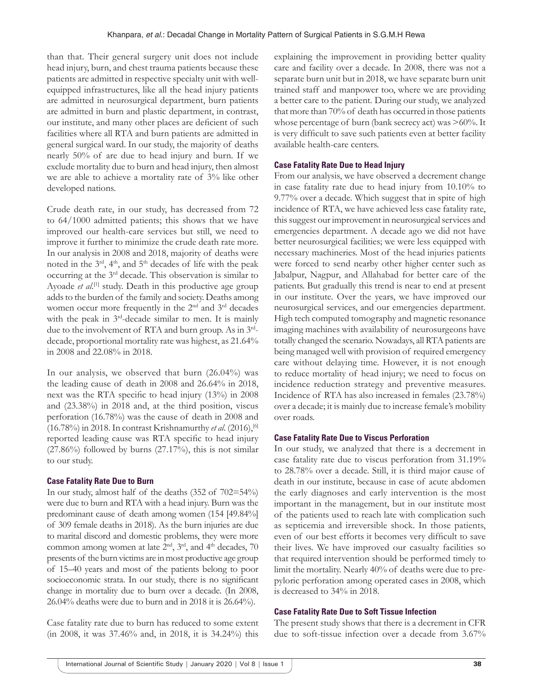than that. Their general surgery unit does not include head injury, burn, and chest trauma patients because these patients are admitted in respective specialty unit with wellequipped infrastructures, like all the head injury patients are admitted in neurosurgical department, burn patients are admitted in burn and plastic department, in contrast, our institute, and many other places are deficient of such facilities where all RTA and burn patients are admitted in general surgical ward. In our study, the majority of deaths nearly 50% of are due to head injury and burn. If we exclude mortality due to burn and head injury, then almost we are able to achieve a mortality rate of 3% like other developed nations.

Crude death rate, in our study, has decreased from 72 to 64/1000 admitted patients; this shows that we have improved our health-care services but still, we need to improve it further to minimize the crude death rate more. In our analysis in 2008 and 2018, majority of deaths were noted in the  $3^{rd}$ ,  $4^{th}$ , and  $5^{th}$  decades of life with the peak occurring at the 3rd decade. This observation is similar to Ayoade *et al.*<sup>[1]</sup> study. Death in this productive age group adds to the burden of the family and society. Deaths among women occur more frequently in the 2<sup>nd</sup> and 3<sup>rd</sup> decades with the peak in  $3<sup>rd</sup>$ -decade similar to men. It is mainly due to the involvement of RTA and burn group. As in 3rddecade, proportional mortality rate was highest, as 21.64% in 2008 and 22.08% in 2018.

In our analysis, we observed that burn (26.04%) was the leading cause of death in 2008 and 26.64% in 2018, next was the RTA specific to head injury (13%) in 2008 and (23.38%) in 2018 and, at the third position, viscus perforation (16.78%) was the cause of death in 2008 and (16.78%) in 2018. In contrast Krishnamurthy *et al*. (2016),[6] reported leading cause was RTA specific to head injury  $(27.86\%)$  followed by burns  $(27.17\%)$ , this is not similar to our study.

# **Case Fatality Rate Due to Burn**

In our study, almost half of the deaths (352 of 702=54%) were due to burn and RTA with a head injury. Burn was the predominant cause of death among women (154 [49.84%] of 309 female deaths in 2018). As the burn injuries are due to marital discord and domestic problems, they were more common among women at late  $2<sup>nd</sup>$ ,  $3<sup>rd</sup>$ , and  $4<sup>th</sup>$  decades, 70 presents of the burn victims are in most productive age group of 15–40 years and most of the patients belong to poor socioeconomic strata. In our study, there is no significant change in mortality due to burn over a decade. (In 2008, 26.04% deaths were due to burn and in 2018 it is 26.64%).

Case fatality rate due to burn has reduced to some extent (in 2008, it was 37.46% and, in 2018, it is 34.24%) this explaining the improvement in providing better quality care and facility over a decade. In 2008, there was not a separate burn unit but in 2018, we have separate burn unit trained staff and manpower too, where we are providing a better care to the patient*.* During our study, we analyzed that more than 70% of death has occurred in those patients whose percentage of burn (bank secrecy act) was >60%. It is very difficult to save such patients even at better facility available health-care centers.

#### **Case Fatality Rate Due to Head Injury**

From our analysis, we have observed a decrement change in case fatality rate due to head injury from 10.10% to 9.77% over a decade. Which suggest that in spite of high incidence of RTA, we have achieved less case fatality rate, this suggest our improvement in neurosurgical services and emergencies department. A decade ago we did not have better neurosurgical facilities; we were less equipped with necessary machineries. Most of the head injuries patients were forced to send nearby other higher center such as Jabalpur, Nagpur, and Allahabad for better care of the patients. But gradually this trend is near to end at present in our institute. Over the years, we have improved our neurosurgical services, and our emergencies department. High tech computed tomography and magnetic resonance imaging machines with availability of neurosurgeons have totally changed the scenario. Nowadays, all RTA patients are being managed well with provision of required emergency care without delaying time. However, it is not enough to reduce mortality of head injury; we need to focus on incidence reduction strategy and preventive measures. Incidence of RTA has also increased in females (23.78%) over a decade; it is mainly due to increase female's mobility over roads.

#### **Case Fatality Rate Due to Viscus Perforation**

In our study, we analyzed that there is a decrement in case fatality rate due to viscus perforation from 31.19% to 28.78% over a decade. Still, it is third major cause of death in our institute, because in case of acute abdomen the early diagnoses and early intervention is the most important in the management, but in our institute most of the patients used to reach late with complication such as septicemia and irreversible shock. In those patients, even of our best efforts it becomes very difficult to save their lives. We have improved our casualty facilities so that required intervention should be performed timely to limit the mortality. Nearly 40% of deaths were due to prepyloric perforation among operated cases in 2008, which is decreased to 34% in 2018.

# **Case Fatality Rate Due to Soft Tissue Infection**

The present study shows that there is a decrement in CFR due to soft-tissue infection over a decade from 3.67%